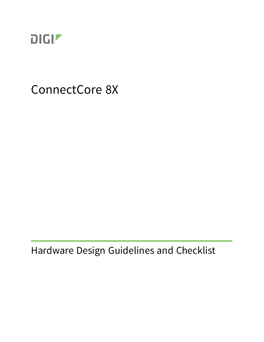

# ConnectCore 8X

Hardware Design Guidelines and Checklist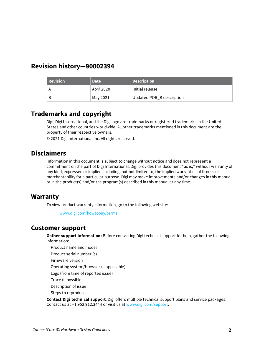#### **Revision history—90002394**

| Revision | <b>Date</b> | Description               |
|----------|-------------|---------------------------|
|          | April 2020  | Initial release           |
| B        | May 2021    | Updated POR_B description |

#### **Trademarks and copyright**

Digi, Digi International, and the Digi logo are trademarks or registered trademarks in the United States and other countries worldwide. All other trademarks mentioned in this document are the property of their respective owners.

© 2021 Digi International Inc. All rights reserved.

#### **Disclaimers**

Information in this document is subject to change without notice and does not represent a commitment on the part of Digi International. Digi provides this document "as is," without warranty of any kind, expressed or implied, including, but not limited to, the implied warranties of fitness or merchantability for a particular purpose. Digi may make improvements and/or changes in this manual or in the product(s) and/or the program(s) described in this manual at any time.

#### **Warranty**

To view product warranty information, go to the following website:

[www.digi.com/howtobuy/terms](http://www.digi.com/howtobuy/terms)

#### **Customer support**

**Gather support information:** Before contacting Digi technical support for help, gather the following information:

Product name and model

Product serial number (s)

Firmware version

Operating system/browser (if applicable)

Logs (from time of reported issue)

Trace (if possible)

Description of issue

Steps to reproduce

**Contact Digi technical support**: Digi offers multiple technical support plans and service packages. Contact us at +1 952.912.3444 or visit us at [www.digi.com/support](http://www.digi.com/support).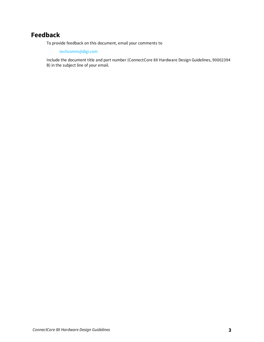## **Feedback**

To provide feedback on this document, email your comments to

[techcomm@digi.com](mailto:techcomm@digi.com)

Include the document title and part number (ConnectCore 8X Hardware Design Guidelines, 90002394 B) in the subject line of your email.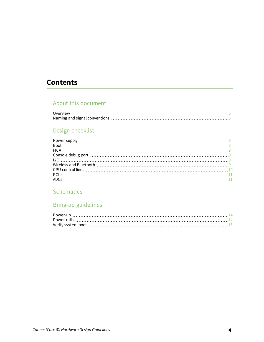## **Contents**

## About this [document](#page-4-0)

| Overview |  |
|----------|--|
|          |  |

## Design [checklist](#page-5-0)

## **[Schematics](#page-11-0)**

## Bring-up [guidelines](#page-13-0)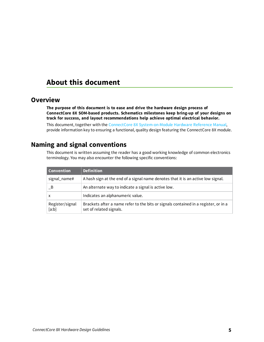## <span id="page-4-0"></span>**About this document**

#### <span id="page-4-1"></span>**Overview**

**The purpose of this document is to ease and drive the hardware design process of ConnectCore 8X SOM-based products. Schematics milestones keep bring-up of your designs on track for success, and layout recommendations help achieve optimal electrical behavior.**

This document, together with the ConnectCore 8X [System-on-Module](https://www.digi.com/resources/documentation/digidocs/90002295/) Hardware Reference Manual, provide information key to ensuring a functional, quality design featuring the ConnectCore 8X module.

#### <span id="page-4-2"></span>**Naming and signal conventions**

This document is written assuming the reader has a good working knowledge of common electronics terminology. You may also encounter the following specific conventions:

| <b>Convention</b>        | <b>Definition</b>                                                                                              |
|--------------------------|----------------------------------------------------------------------------------------------------------------|
| signal_name#             | A hash sign at the end of a signal name denotes that it is an active low signal.                               |
| - B                      | An alternate way to indicate a signal is active low.                                                           |
| x                        | Indicates an alphanumeric value.                                                                               |
| Register/signal<br>[a:b] | Brackets after a name refer to the bits or signals contained in a register, or in a<br>set of related signals. |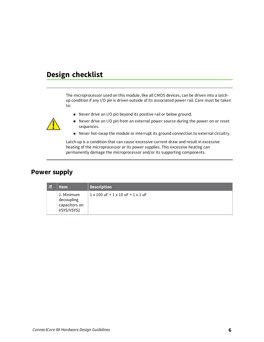# <span id="page-5-0"></span>**Design checklist**

The microprocessor used on this module, like all CMOS devices, can be driven into a latchup condition if any I/O pin is driven outside of its associated power rail. Care must be taken to:

 $\blacksquare$  Never drive an I/O pin beyond its positive rail or below ground.



- <sup>n</sup> Never drive an I/O pin from an external power source during the power-on or reset sequences.
- Never hot-swap the module or interrupt its ground connection to external circuitry.

Latch-up is a condition that can cause excessive current draw and result in excessive heating of the microprocessor or its power supplies. This excessive heating can permanently damage the microprocessor and/or its supporting components.

## <span id="page-5-1"></span>**Power supply**

| । ⊽ | <b>Item</b>                                             | <b>Description</b>                                     |
|-----|---------------------------------------------------------|--------------------------------------------------------|
|     | 1. Minimum<br>decoupling<br>capacitors on<br>VSYS/VSYS2 | $1 \times 100$ uF + $1 \times 10$ uF + $1 \times 1$ uF |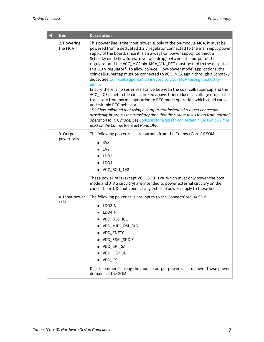| ☑ | <b>Item</b>              | <b>Description</b>                                                                                                                                                                                                                                                                                                                                                                                                                                                                                                                                                                                                                                                                                                                                                                                                                                                                                                                                                                                                                                                                                                                                                                                                |
|---|--------------------------|-------------------------------------------------------------------------------------------------------------------------------------------------------------------------------------------------------------------------------------------------------------------------------------------------------------------------------------------------------------------------------------------------------------------------------------------------------------------------------------------------------------------------------------------------------------------------------------------------------------------------------------------------------------------------------------------------------------------------------------------------------------------------------------------------------------------------------------------------------------------------------------------------------------------------------------------------------------------------------------------------------------------------------------------------------------------------------------------------------------------------------------------------------------------------------------------------------------------|
|   | 2. Powering<br>the MCA   | This power line is the input power supply of the on-module MCA. It must be<br>powered from a dedicated 3.3 V regulator connected to the main input power<br>supply of the board, since it is an always-on power supply. Connect a<br>Schottky diode (low forward voltage drop) between the output of the<br>regulator and the VCC_MCA pin. MCA_VIN_DET must be tied to the output of<br>this 3.3 V regulator <sup>1</sup> . To allow coin-cell (low-power mode) applications, the<br>coin-cell/supercap must be connected to VCC_MCA again through a Schottky<br>diode. See Coin-cell/supercap connected to VCC_MCA through Schottky<br>diode.<br>Ensure there is no series resistance between the coin-cell/supercap and the<br>VCC_LICELL net in the circuit linked above. It introduces a voltage drop in the<br>transitory from normal operation to RTC mode operation which could cause<br>undesirable RTC behavior.<br>1Digi has validated that using a comparator instead of a direct connection<br>drastically improves the transitory time that the system takes to go from normal<br>operation to RTC mode. See Comparator used for connecting MCA_VIN_DET line<br>used on the ConnectCore 8M Nano DVK. |
|   | 3. Output<br>power rails | The following power rails are outputs from the ConnectCore 8X SOM:<br>$\blacksquare$ 3V3<br>1V8<br>п<br>LDO3<br>LDO4<br>■ VCC_SCU_1V8<br>These power rails (except VCC_SCU_1V8, which must only power the boot<br>mode and JTAG circuitry) are intended to power external circuitry on the<br>carrier board. Do not connect any external power supply to these lines.                                                                                                                                                                                                                                                                                                                                                                                                                                                                                                                                                                                                                                                                                                                                                                                                                                             |
|   | 4. Input power<br>rails  | The following power rails are inputs to the ConnectCore 8X SOM:<br>LDO3IN<br>LDO4IN<br>■ VDD_USDHC1<br>VDD_MIPI_DSI_DIG<br>VDD_ENET0<br>VDD_ESAI_SPDIF<br>VDD_SPI_SAI<br>VDD_QSPI0B<br>VDD_CSI<br>Digi recommends using the module output power rails to power these power<br>domains of the SOM.                                                                                                                                                                                                                                                                                                                                                                                                                                                                                                                                                                                                                                                                                                                                                                                                                                                                                                                 |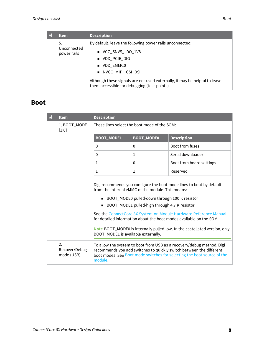| $\overline{\mathbf{v}}$ | <b>Item</b>                       | <b>Description</b>                                                                                                         |
|-------------------------|-----------------------------------|----------------------------------------------------------------------------------------------------------------------------|
|                         | .5.<br>Unconnected<br>power rails | By default, leave the following power rails unconnected:                                                                   |
|                         |                                   | ■ VCC_SNVS_LDO_1V8                                                                                                         |
|                         |                                   | ■ VDD PCIE DIG                                                                                                             |
|                         |                                   | UDD EMMCO                                                                                                                  |
|                         |                                   | ■ NVCC_MIPI_CSI_DSI                                                                                                        |
|                         |                                   | Although these signals are not used externally, it may be helpful to leave<br>them accessible for debugging (test points). |

## <span id="page-7-0"></span>**Boot**

| ☑ | <b>Item</b>                       | <b>Description</b>                                                                                                                                                                                                              |                   |                                                                                                                                                                                                                         |
|---|-----------------------------------|---------------------------------------------------------------------------------------------------------------------------------------------------------------------------------------------------------------------------------|-------------------|-------------------------------------------------------------------------------------------------------------------------------------------------------------------------------------------------------------------------|
|   | 1. BOOT_MODE<br>$[1:0]$           | These lines select the boot mode of the SOM:                                                                                                                                                                                    |                   |                                                                                                                                                                                                                         |
|   |                                   | <b>BOOT_MODE1</b>                                                                                                                                                                                                               | <b>BOOT_MODE0</b> | <b>Description</b>                                                                                                                                                                                                      |
|   |                                   | $\mathbf{0}$                                                                                                                                                                                                                    | $\Omega$          | Boot from fuses                                                                                                                                                                                                         |
|   |                                   | $\Omega$                                                                                                                                                                                                                        | $\mathbf{1}$      | Serial downloader                                                                                                                                                                                                       |
|   |                                   | $\mathbf{1}$                                                                                                                                                                                                                    | $\Omega$          | Boot from board settings                                                                                                                                                                                                |
|   |                                   | 1                                                                                                                                                                                                                               | 1                 | Reserved                                                                                                                                                                                                                |
|   |                                   | Digi recommends you configure the boot mode lines to boot by default<br>from the internal eMMC of the module. This means:<br>■ BOOT_MODE0 pulled-down through 100 K resistor<br>■ BOOT_MODE1 pulled-high through 4.7 K resistor |                   |                                                                                                                                                                                                                         |
|   |                                   |                                                                                                                                                                                                                                 |                   | See the ConnectCore 8X System-on-Module Hardware Reference Manual<br>for detailed information about the boot modes available on the SOM.                                                                                |
|   |                                   | Note BOOT_MODE0 is internally pulled-low. In the castellated version, only<br>BOOT_MODE1 is available externally.                                                                                                               |                   |                                                                                                                                                                                                                         |
|   | 2.<br>Recover/Debug<br>mode (USB) | module.                                                                                                                                                                                                                         |                   | To allow the system to boot from USB as a recovery/debug method, Digi<br>recommends you add switches to quickly switch between the different<br>boot modes. See Boot mode switches for selecting the boot source of the |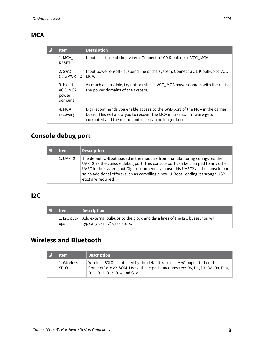## <span id="page-8-0"></span>**MCA**

| ☑ | <b>Item</b>                               | <b>Description</b>                                                                                                                                                                                               |
|---|-------------------------------------------|------------------------------------------------------------------------------------------------------------------------------------------------------------------------------------------------------------------|
|   | 1. MCA<br><b>RESET</b>                    | Input reset line of the system. Connect a 100 K pull-up to VCC_MCA.                                                                                                                                              |
|   | 2. SWD<br>CLK/PWR_IO                      | Input power on/off - suspend line of the system. Connect a 51 K pull-up to VCC<br>MCA.                                                                                                                           |
|   | 3. Isolate<br>VCC_MCA<br>power<br>domains | As much as possible, try not to mix the VCC_MCA power domain with the rest of<br>the power domains of the system.                                                                                                |
|   | 4. MCA<br>recovery                        | Digi recommends you enable access to the SWD port of the MCA in the carrier<br>board. This will allow you to recover the MCA in case its firmware gets<br>corrupted and the micro-controller can no longer boot. |

# <span id="page-8-1"></span>**Console debug port**

| ाज | ltem     | <b>Description</b>                                                                                                                                                                                                                                                                                                                                        |
|----|----------|-----------------------------------------------------------------------------------------------------------------------------------------------------------------------------------------------------------------------------------------------------------------------------------------------------------------------------------------------------------|
|    | 1. UART2 | The default U-Boot loaded in the modules from manufacturing configures the<br>UART2 as the console debug port. This console port can be changed to any other<br>UART in the system, but Digi recommends you use this UART2 as the console port<br>so no additional effort (such as compiling a new U-Boot, loading it through USB,<br>etc.) are required. |

## <span id="page-8-2"></span>**I2C**

| ঢা | <b>Item</b> | <b>Description</b>                                                                                                        |
|----|-------------|---------------------------------------------------------------------------------------------------------------------------|
|    | ups         | 1.12C pull- Add external pull-ups to the clock and data lines of the I2C buses. You will<br>typically use 4.7K resistors. |

# <span id="page-8-3"></span>**Wireless and Bluetooth**

| ाज | <b>Item</b>                | Description                                                                                                                                                                         |
|----|----------------------------|-------------------------------------------------------------------------------------------------------------------------------------------------------------------------------------|
|    | 1. Wireless<br><b>SDIO</b> | Wireless SDIO is not used by the default wireless MAC populated on the<br>ConnectCore 8X SOM. Leave these pads unconnected: D5, D6, D7, D8, D9, D10,<br>D11, D12, D13, D14 and G18. |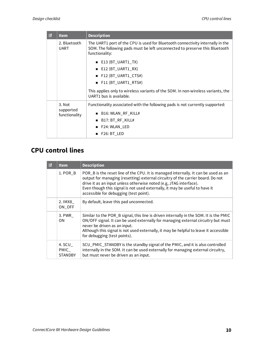| ☑ | <b>Item</b>                          | <b>Description</b>                                                                                                                                                              |
|---|--------------------------------------|---------------------------------------------------------------------------------------------------------------------------------------------------------------------------------|
|   | 2. Bluetooth<br><b>UART</b>          | The UART1 port of the CPU is used for Bluetooth connectivity internally in the<br>SOM. The following pads must be left unconnected to preserve this Bluetooth<br>functionality: |
|   |                                      | $\blacksquare$ E13 (BT_UART1_TX)                                                                                                                                                |
|   |                                      | $\blacksquare$ E12 (BT_UART1_RX)                                                                                                                                                |
|   |                                      | F12 (BT_UART1_CTS#)                                                                                                                                                             |
|   |                                      | $\blacksquare$ F11 (BT_UART1_RTS#)                                                                                                                                              |
|   |                                      | This applies only to wireless variants of the SOM. In non-wireless variants, the<br>UART1 bus is available.                                                                     |
|   | 3. Not<br>supported<br>functionality | Functionality associated with the following pads is not currently supported:                                                                                                    |
|   |                                      | B16: WLAN_RF_KILL#                                                                                                                                                              |
|   |                                      | B17: BT_RF_KILL#                                                                                                                                                                |
|   |                                      | F24: WLAN_LED                                                                                                                                                                   |
|   |                                      | $\blacksquare$ F26: BT LED                                                                                                                                                      |

# <span id="page-9-0"></span>**CPU control lines**

| র | <b>Item</b>                      | <b>Description</b>                                                                                                                                                                                                                                                                                                                                                   |
|---|----------------------------------|----------------------------------------------------------------------------------------------------------------------------------------------------------------------------------------------------------------------------------------------------------------------------------------------------------------------------------------------------------------------|
|   | 1. POR B                         | POR_B is the reset line of the CPU. It is managed internally. It can be used as an<br>output for managing (resetting) external circuitry of the carrier board. Do not<br>drive it as an input unless otherwise noted (e.g, JTAG interface).<br>Even though this signal is not used externally, it may be useful to have it<br>accessible for debugging (test point). |
|   | 2. IMX8<br>ON_OFF                | By default, leave this pad unconnected.                                                                                                                                                                                                                                                                                                                              |
|   | 3. PWR<br><b>ON</b>              | Similar to the POR_B signal, this line is driven internally in the SOM. It is the PMIC<br>ON/OFF signal. It can be used externally for managing external circuitry but must<br>never be driven as an input.<br>Although this signal is not used externally, it may be helpful to leave it accessible<br>for debugging (test points).                                 |
|   | 4. SCU<br>PMIC<br><b>STANDBY</b> | SCU_PMIC_STANDBY is the standby signal of the PMIC, and it is also controlled<br>internally in the SOM. It can be used externally for managing external circuitry,<br>but must never be driven as an input.                                                                                                                                                          |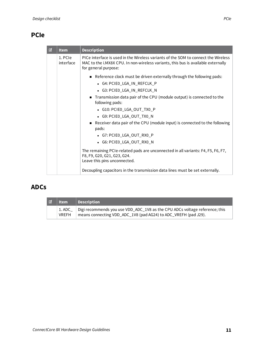# <span id="page-10-0"></span>**PCIe**

| ☑ | <b>Item</b>          | <b>Description</b>                                                                                                                                                                              |
|---|----------------------|-------------------------------------------------------------------------------------------------------------------------------------------------------------------------------------------------|
|   | 1. PCIe<br>interface | PICe interface is used in the Wireless variants of the SOM to connect the Wireless<br>MAC to the i.MX8X CPU. In non-wireless variants, this bus is available externally<br>for general purpose: |
|   |                      | Reference clock must be driven externally through the following pads:<br>• G4: PCIE0_LGA_IN_REFCLK_P                                                                                            |
|   |                      | • G3: PCIE0_LGA_IN_REFCLK_N<br>Transmission data pair of the CPU (module output) is connected to the<br>following pads:                                                                         |
|   |                      | • G10: PCIE0_LGA_OUT_TX0_P                                                                                                                                                                      |
|   |                      | • G9: PCIE0_LGA_OUT_TX0_N                                                                                                                                                                       |
|   |                      | Receiver data pair of the CPU (module input) is connected to the following<br>pads:                                                                                                             |
|   |                      | • G7: PCIE0_LGA_OUT_RX0_P                                                                                                                                                                       |
|   |                      | • G6: PCIE0_LGA_OUT_RX0_N                                                                                                                                                                       |
|   |                      | The remaining PCIe-related pads are unconnected in all variants: F4, F5, F6, F7,<br>F8, F9, G20, G21, G23, G24.<br>Leave this pins unconnected.                                                 |
|   |                      | Decoupling capacitors in the transmission data lines must be set externally.                                                                                                                    |

# <span id="page-10-1"></span>**ADCs**

| ष | $ $ Item | Description                                                                                                                                              |
|---|----------|----------------------------------------------------------------------------------------------------------------------------------------------------------|
|   | VREFH    | 1. ADC_   Digi recommends you use VDD_ADC_1V8 as the CPU ADCs voltage reference; this<br>means connecting VDD_ADC_1V8 (pad AG24) to ADC_VREFH (pad J29). |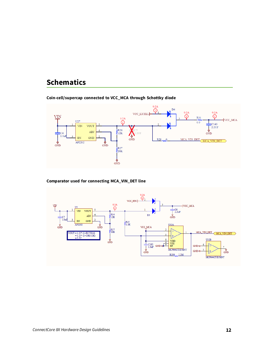## <span id="page-11-0"></span>**Schematics**

#### <span id="page-11-1"></span>**Coin-cell/supercap connected to VCC\_MCA through Schottky diode**



<span id="page-11-2"></span>**Comparator used for connecting MCA\_VIN\_DET line**

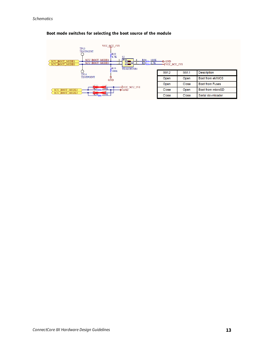

#### <span id="page-12-0"></span>**Boot mode switches for selecting the boot source of the module**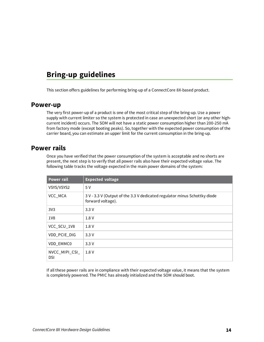# <span id="page-13-0"></span>**Bring-up guidelines**

This section offers guidelines for performing bring-up of a ConnectCore 8X-based product.

#### <span id="page-13-1"></span>**Power-up**

The very first power-up of a product is one of the most critical step of the bring-up. Use a power supply with current limiter so the system is protected in case an unexpected short (or any other highcurrent incident) occurs. The SOM will not have a static power consumption higher than 200-250 mA from factory mode (except booting peaks). So, together with the expected power consumption of the carrier board, you can estimate an upper limit for the current consumption in the bring-up.

#### <span id="page-13-2"></span>**Power rails**

Once you have verified that the power consumption of the system is acceptable and no shorts are present, the next step is to verify that all power rails also have their expected voltage value. The following table tracks the voltage expected in the main power domains of the system:

| <b>Power rail</b>            | <b>Expected voltage</b>                                                                        |
|------------------------------|------------------------------------------------------------------------------------------------|
| VSYS/VSYS2                   | 5V                                                                                             |
| VCC_MCA                      | 3 V - 3.3 V (Output of the 3.3 V dedicated regulator minus Schottky diode<br>forward voltage). |
| 3V <sub>3</sub>              | 3.3V                                                                                           |
| 1V8                          | 1.8 V                                                                                          |
| VCC_SCU_1V8                  | 1.8 V                                                                                          |
| VDD_PCIE_DIG                 | 3.3V                                                                                           |
| VDD_EMMC0                    | 3.3V                                                                                           |
| NVCC_MIPI_CSI_<br><b>DSI</b> | 1.8 V                                                                                          |

If all these power rails are in compliance with their expected voltage value, it means that the system is completely powered. The PMIC has already initialized and the SOM should boot.